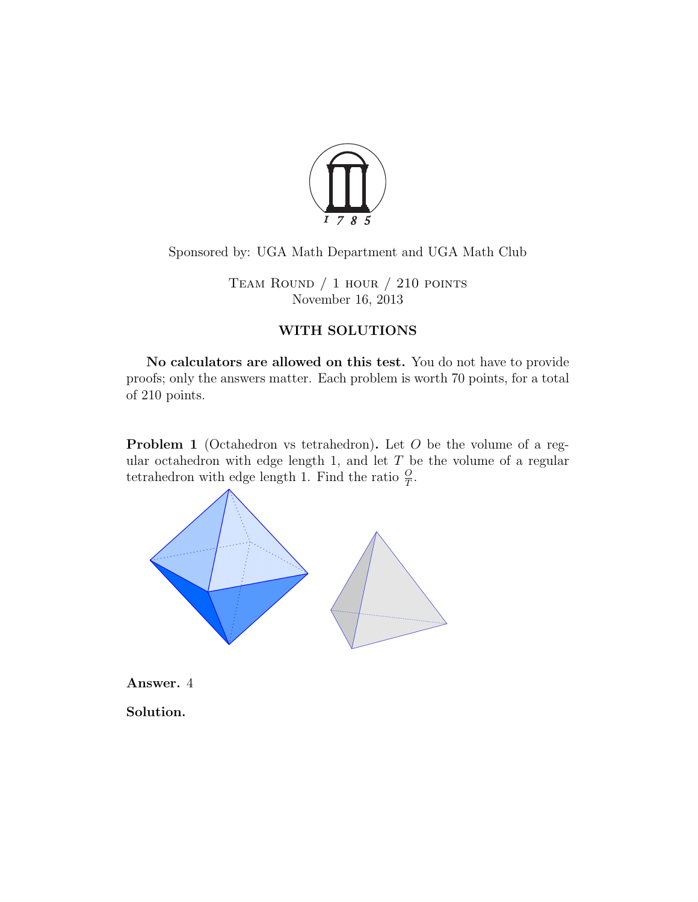

Sponsored by: UGA Math Department and UGA Math Club

Team Round / 1 hour / 210 points November 16, 2013

## WITH SOLUTIONS

No calculators are allowed on this test. You do not have to provide proofs; only the answers matter. Each problem is worth 70 points, for a total of 210 points.

Problem 1 (Octahedron vs tetrahedron). Let *O* be the volume of a regular octahedron with edge length 1, and let *T* be the volume of a regular tetrahedron with edge length 1. Find the ratio  $\frac{O}{T}$ .



Answer. 4

Solution.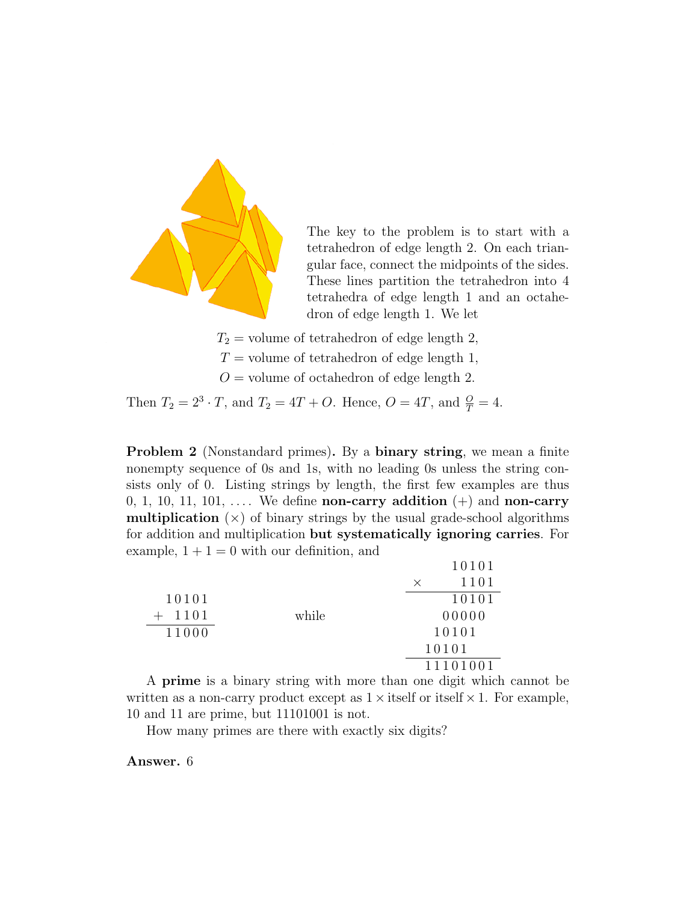

The key to the problem is to start with a tetrahedron of edge length 2. On each triangular face, connect the midpoints of the sides. These lines partition the tetrahedron into 4 tetrahedra of edge length 1 and an octahedron of edge length 1. We let

- $T_2$  = volume of tetrahedron of edge length 2*,*  $T =$  volume of tetrahedron of edge length 1,
- *O* = volume of octahedron of edge length 2*.*

Then  $T_2 = 2^3 \cdot T$ , and  $T_2 = 4T + O$ . Hence,  $O = 4T$ , and  $\frac{O}{T} = 4$ .

Problem 2 (Nonstandard primes). By a binary string, we mean a finite nonempty sequence of 0s and 1s, with no leading 0s unless the string consists only of 0. Listing strings by length, the first few examples are thus 0, 1, 10, 11, 101,  $\dots$  We define **non-carry addition**  $(+)$  and **non-carry multiplication**  $(\times)$  of binary strings by the usual grade-school algorithms for addition and multiplication but systematically ignoring carries. For example,  $1 + 1 = 0$  with our definition, and

|       |       |          | 10101    |
|-------|-------|----------|----------|
|       |       | $\times$ | 1101     |
| 10101 |       |          | 10101    |
| 1101  | while |          | 00000    |
| 11000 |       |          | 10101    |
|       |       |          | 10101    |
|       |       |          | 11101001 |

A prime is a binary string with more than one digit which cannot be written as a non-carry product except as  $1 \times$  itself or itself  $\times$  1. For example, 10 and 11 are prime, but 11101001 is not.

How many primes are there with exactly six digits?

Answer. 6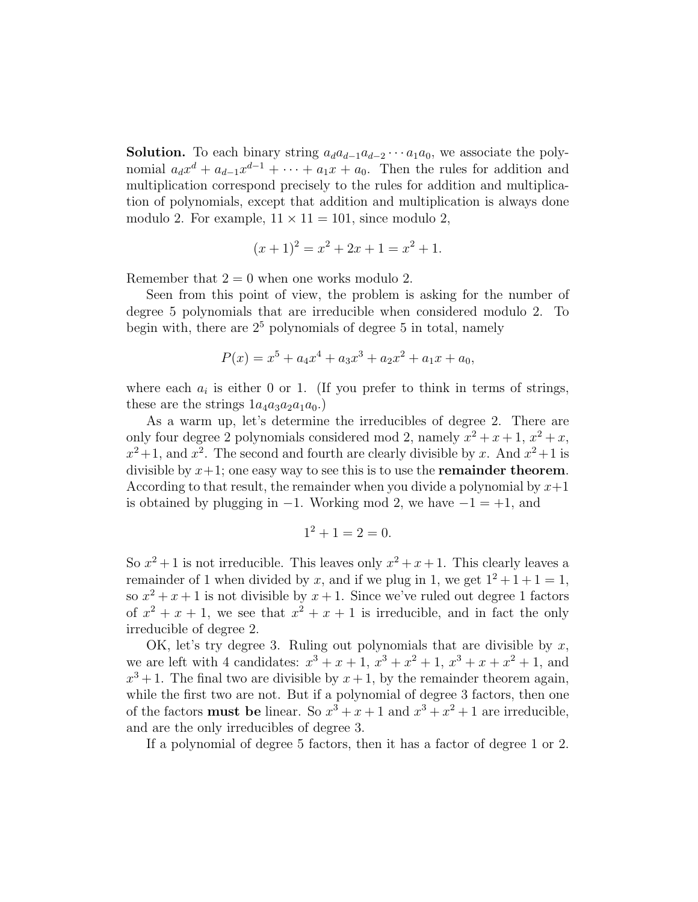**Solution.** To each binary string  $a_d a_{d-1} a_{d-2} \cdots a_1 a_0$ , we associate the polynomial  $a_d x^d + a_{d-1} x^{d-1} + \cdots + a_1 x + a_0$ . Then the rules for addition and multiplication correspond precisely to the rules for addition and multiplication of polynomials, except that addition and multiplication is always done modulo 2. For example,  $11 \times 11 = 101$ , since modulo 2,

$$
(x+1)^2 = x^2 + 2x + 1 = x^2 + 1.
$$

Remember that  $2 = 0$  when one works modulo 2.

Seen from this point of view, the problem is asking for the number of degree 5 polynomials that are irreducible when considered modulo 2. To begin with, there are  $2<sup>5</sup>$  polynomials of degree 5 in total, namely

$$
P(x) = x^5 + a_4x^4 + a_3x^3 + a_2x^2 + a_1x + a_0,
$$

where each  $a_i$  is either 0 or 1. (If you prefer to think in terms of strings, these are the strings  $1a_4a_3a_2a_1a_0$ .)

As a warm up, let's determine the irreducibles of degree 2. There are only four degree 2 polynomials considered mod 2, namely  $x^2 + x + 1$ ,  $x^2 + x$ ,  $x^2+1$ , and  $x^2$ . The second and fourth are clearly divisible by *x*. And  $x^2+1$  is divisible by  $x+1$ ; one easy way to see this is to use the **remainder theorem**. According to that result, the remainder when you divide a polynomial by *x*+1 is obtained by plugging in  $-1$ . Working mod 2, we have  $-1 = +1$ , and

$$
1^2 + 1 = 2 = 0.
$$

So  $x^2 + 1$  is not irreducible. This leaves only  $x^2 + x + 1$ . This clearly leaves a remainder of 1 when divided by x, and if we plug in 1, we get  $1^2 + 1 + 1 = 1$ , so  $x^2 + x + 1$  is not divisible by  $x + 1$ . Since we've ruled out degree 1 factors of  $x^2 + x + 1$ , we see that  $x^2 + x + 1$  is irreducible, and in fact the only irreducible of degree 2.

OK, let's try degree 3. Ruling out polynomials that are divisible by *x*, we are left with 4 candidates:  $x^3 + x + 1$ ,  $x^3 + x^2 + 1$ ,  $x^3 + x + x^2 + 1$ , and  $x^3 + 1$ . The final two are divisible by  $x + 1$ , by the remainder theorem again, while the first two are not. But if a polynomial of degree 3 factors, then one of the factors **must** be linear. So  $x^3 + x + 1$  and  $x^3 + x^2 + 1$  are irreducible, and are the only irreducibles of degree 3.

If a polynomial of degree 5 factors, then it has a factor of degree 1 or 2.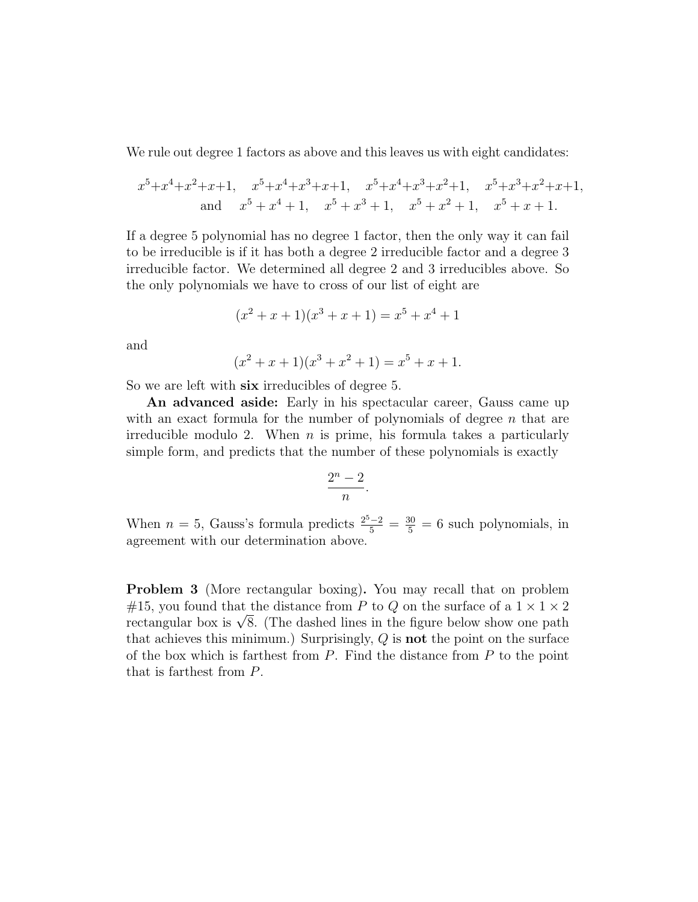We rule out degree 1 factors as above and this leaves us with eight candidates:

$$
x^5 + x^4 + x^2 + x + 1
$$
,  $x^5 + x^4 + x^3 + x + 1$ ,  $x^5 + x^4 + x^3 + x^2 + 1$ ,  $x^5 + x^3 + x^2 + x + 1$ ,  
and  $x^5 + x^4 + 1$ ,  $x^5 + x^3 + 1$ ,  $x^5 + x^2 + 1$ ,  $x^5 + x + 1$ .

If a degree 5 polynomial has no degree 1 factor, then the only way it can fail to be irreducible is if it has both a degree 2 irreducible factor and a degree 3 irreducible factor. We determined all degree 2 and 3 irreducibles above. So the only polynomials we have to cross of our list of eight are

$$
(x2 + x + 1)(x3 + x + 1) = x5 + x4 + 1
$$

and

$$
(x2 + x + 1)(x3 + x2 + 1) = x5 + x + 1.
$$

So we are left with six irreducibles of degree 5.

An advanced aside: Early in his spectacular career, Gauss came up with an exact formula for the number of polynomials of degree *n* that are irreducible modulo 2. When *n* is prime, his formula takes a particularly simple form, and predicts that the number of these polynomials is exactly

$$
\frac{2^n-2}{n}.
$$

When  $n = 5$ , Gauss's formula predicts  $\frac{2^5 - 2}{5} = \frac{30}{5} = 6$  such polynomials, in agreement with our determination above.

Problem 3 (More rectangular boxing). You may recall that on problem #15, you found that the distance from P to Q on the surface of a  $1 \times 1 \times 2$ rectangular box is  $\sqrt{8}$ . (The dashed lines in the figure below show one path that achieves this minimum.) Surprisingly, *Q* is not the point on the surface of the box which is farthest from *P*. Find the distance from *P* to the point that is farthest from *P*.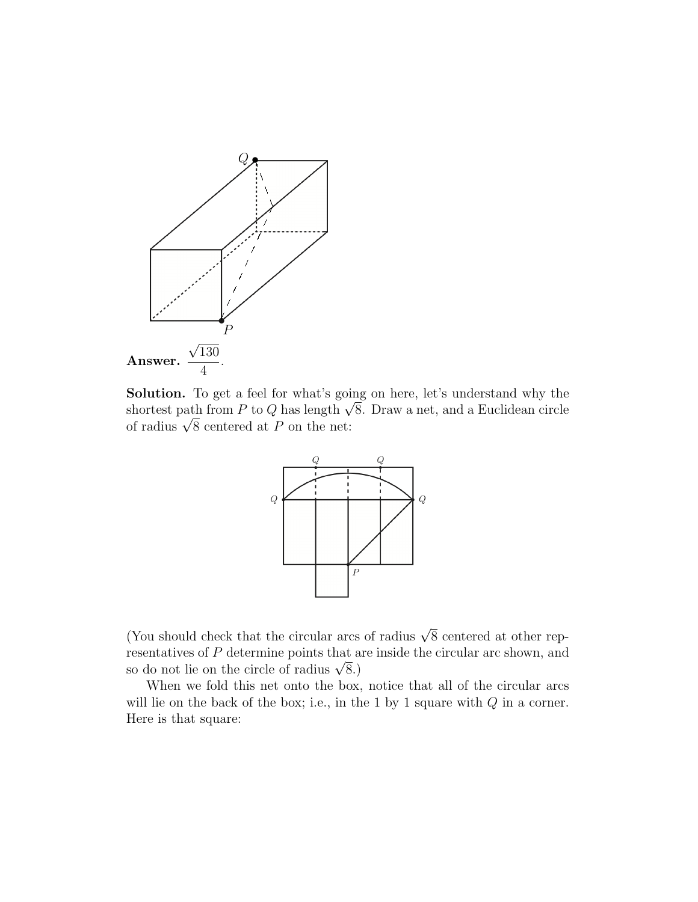

Solution. To get a feel for what's going on here, let's understand why the shortest path from *P* to *Q* has length  $\sqrt{8}$ . Draw a net, and a Euclidean circle of radius  $\sqrt{8}$  centered at *P* on the net:



(You should check that the circular arcs of radius  $\sqrt{8}$  centered at other representatives of *P* determine points that are inside the circular arc shown, and so do not lie on the circle of radius  $\sqrt{8}$ .)

When we fold this net onto the box, notice that all of the circular arcs will lie on the back of the box; i.e., in the 1 by 1 square with *Q* in a corner. Here is that square: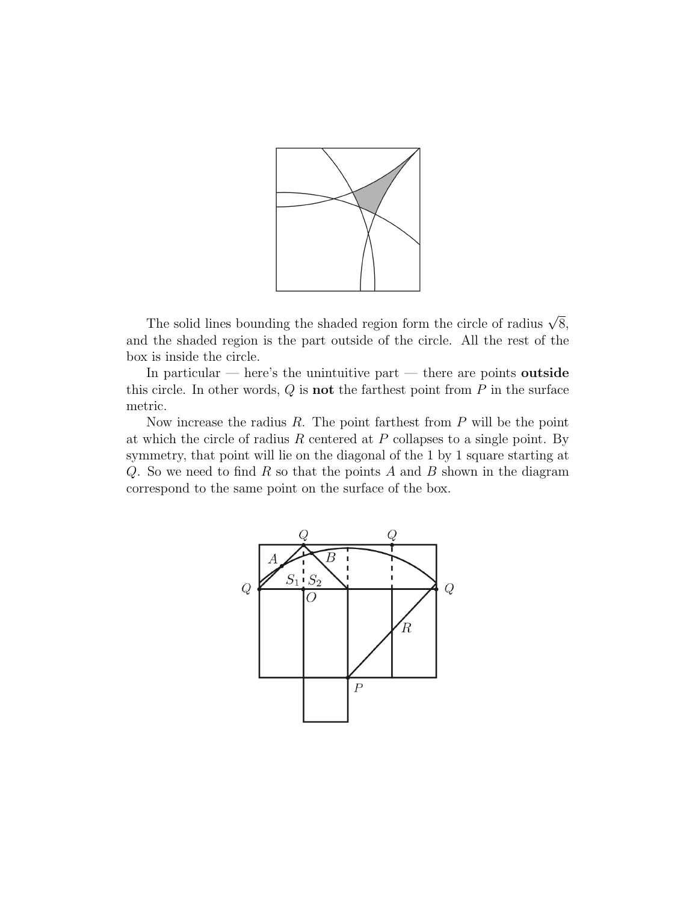

The solid lines bounding the shaded region form the circle of radius  $\sqrt{8}$ , and the shaded region is the part outside of the circle. All the rest of the box is inside the circle.

In particular — here's the unintuitive part — there are points outside this circle. In other words,  $Q$  is **not** the farthest point from  $P$  in the surface metric.

Now increase the radius *R*. The point farthest from *P* will be the point at which the circle of radius *R* centered at *P* collapses to a single point. By symmetry, that point will lie on the diagonal of the 1 by 1 square starting at *Q*. So we need to find *R* so that the points *A* and *B* shown in the diagram correspond to the same point on the surface of the box.